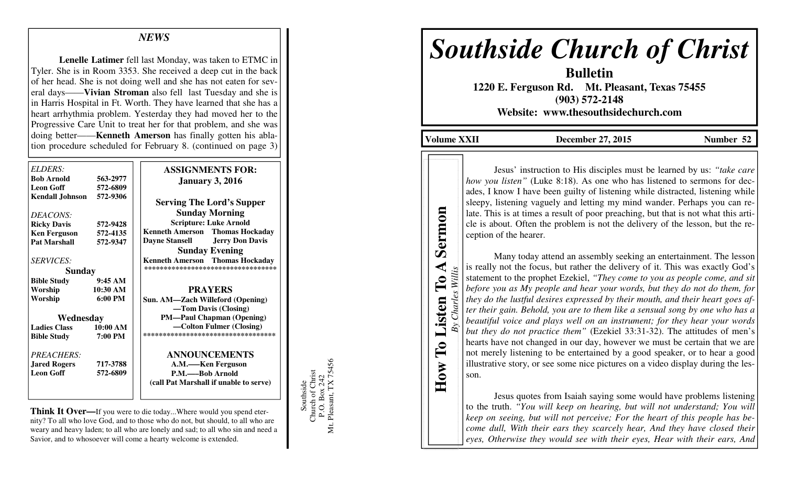### *NEWS*

 **Lenelle Latimer** fell last Monday, was taken to ETMC in Tyler. She is in Room 3353. She received a deep cut in the back of her head. She is not doing well and she has not eaten for several days——**Vivian Stroman** also fell last Tuesday and she is in Harris Hospital in Ft. Worth. They have learned that she has a heart arrhythmia problem. Yesterday they had moved her to the Progressive Care Unit to treat her for that problem, and she was doing better——**Kenneth Amerson** has finally gotten his ablation procedure scheduled for February 8. (continued on page 3)

| ELDERS:<br><b>Bob Arnold</b><br><b>Leon Goff</b> | 563-2977<br>572-6809 | <b>ASSIGNMENTS FOR:</b><br><b>January 3, 2016</b> |
|--------------------------------------------------|----------------------|---------------------------------------------------|
| <b>Kendall Johnson</b>                           | 572-9306             | <b>Serving The Lord's Supper</b>                  |
| DEACONS:                                         |                      | <b>Sunday Morning</b>                             |
| <b>Ricky Davis</b>                               | 572-9428             | <b>Scripture: Luke Arnold</b>                     |
| <b>Ken Ferguson</b>                              | 572-4135             | <b>Kenneth Amerson</b><br><b>Thomas Hockaday</b>  |
| <b>Pat Marshall</b>                              | 572-9347             | <b>Jerry Don Davis</b><br><b>Dayne Stansell</b>   |
|                                                  |                      | <b>Sunday Evening</b>                             |
| <i>SERVICES:</i>                                 |                      | <b>Kenneth Amerson</b> Thomas Hockaday            |
| <b>Sunday</b>                                    |                      | *********************************                 |
| <b>Bible Study</b>                               | 9:45AM               |                                                   |
| Worship                                          | 10:30 AM             | <b>PRAYERS</b>                                    |
| Worship                                          | $6:00 \text{ PM}$    | Sun. AM-Zach Willeford (Opening)                  |
|                                                  |                      | -Tom Davis (Closing)                              |
| Wednesday                                        |                      | <b>PM—Paul Chapman (Opening)</b>                  |
| <b>Ladies Class</b>                              | 10:00 AM             | —Colton Fulmer (Closing)                          |
| <b>Bible Study</b>                               | 7:00 PM              | ***********************************               |
| PREACHERS:                                       |                      | <b>ANNOUNCEMENTS</b>                              |
| <b>Jared Rogers</b>                              | 717-3788             | A.M.—–Ken Ferguson                                |
| <b>Leon Goff</b>                                 | 572-6809             | P.M.——Bob Arnold                                  |
|                                                  |                      |                                                   |
|                                                  |                      | (call Pat Marshall if unable to serve)            |

**Think It Over—**If you were to die today...Where would you spend eternity? To all who love God, and to those who do not, but should, to all who are weary and heavy laden; to all who are lonely and sad; to all who sin and need a Savior, and to whosoever will come a hearty welcome is extended.

Southside<br>Church of Christ<br>P.O. Box 242<br>t. Pleasant, TX 75456 Mt. Pleasant, TX 75456 Church of Christ P.O. Box 242 Southside Mt.

# *Southside Church of Christ*

**Bulletin 1220 E. Ferguson Rd. Mt. Pleasant, Texas 75455 (903) 572-2148 Website: www.thesouthsidechurch.com** 

**Volume XXII December 27, 2015 Number 52** 

**How To Listen To A Sermon**  *By Charles Willis*

To Listen

How

◀

 $\mathbf{r}$ 

Willis

Charles

Sermon

Jesus' instruction to His disciples must be learned by us: *"take care how you listen*" (Luke 8:18). As one who has listened to sermons for decades, I know I have been guilty of listening while distracted, listening while sleepy, listening vaguely and letting my mind wander. Perhaps you can relate. This is at times a result of poor preaching, but that is not what this article is about. Often the problem is not the delivery of the lesson, but the reception of the hearer.

 Many today attend an assembly seeking an entertainment. The lesson is really not the focus, but rather the delivery of it. This was exactly God's statement to the prophet Ezekiel, *"They come to you as people come, and sit before you as My people and hear your words, but they do not do them, for they do the lustful desires expressed by their mouth, and their heart goes after their gain. Behold, you are to them like a sensual song by one who has a beautiful voice and plays well on an instrument; for they hear your words but they do not practice them"* (Ezekiel 33:31-32). The attitudes of men's hearts have not changed in our day, however we must be certain that we are not merely listening to be entertained by a good speaker, or to hear a good illustrative story, or see some nice pictures on a video display during the lesson.

 Jesus quotes from Isaiah saying some would have problems listening to the truth. *"You will keep on hearing, but will not understand; You will keep on seeing, but will not perceive; For the heart of this people has become dull, With their ears they scarcely hear, And they have closed their eyes, Otherwise they would see with their eyes, Hear with their ears, And*